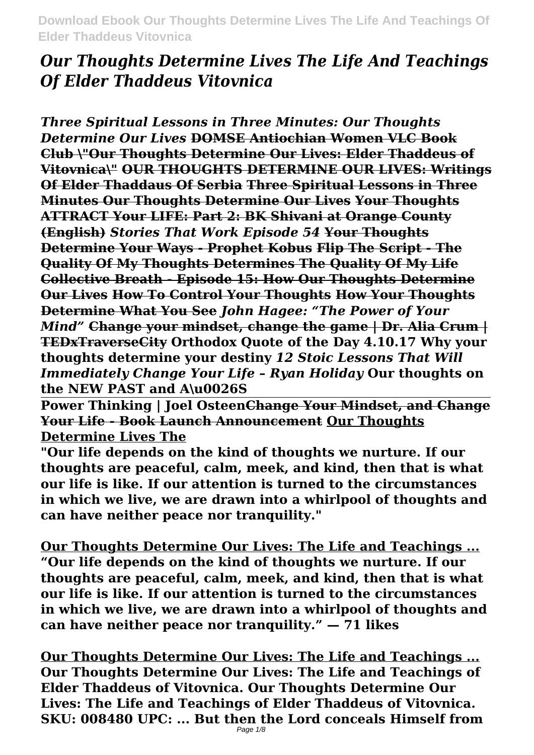# *Our Thoughts Determine Lives The Life And Teachings Of Elder Thaddeus Vitovnica*

*Three Spiritual Lessons in Three Minutes: Our Thoughts Determine Our Lives* **DOMSE Antiochian Women VLC Book Club \"Our Thoughts Determine Our Lives: Elder Thaddeus of Vitovnica\" OUR THOUGHTS DETERMINE OUR LIVES: Writings Of Elder Thaddaus Of Serbia Three Spiritual Lessons in Three Minutes Our Thoughts Determine Our Lives Your Thoughts ATTRACT Your LIFE: Part 2: BK Shivani at Orange County (English)** *Stories That Work Episode 54* **Your Thoughts Determine Your Ways - Prophet Kobus Flip The Script - The Quality Of My Thoughts Determines The Quality Of My Life Collective Breath - Episode 15: How Our Thoughts Determine Our Lives How To Control Your Thoughts How Your Thoughts Determine What You See** *John Hagee: "The Power of Your Mind"* **Change your mindset, change the game | Dr. Alia Crum | TEDxTraverseCity Orthodox Quote of the Day 4.10.17 Why your thoughts determine your destiny** *12 Stoic Lessons That Will Immediately Change Your Life – Ryan Holiday* **Our thoughts on the NEW PAST and A\u0026S**

**Power Thinking | Joel OsteenChange Your Mindset, and Change Your Life - Book Launch Announcement Our Thoughts Determine Lives The**

**"Our life depends on the kind of thoughts we nurture. If our thoughts are peaceful, calm, meek, and kind, then that is what our life is like. If our attention is turned to the circumstances in which we live, we are drawn into a whirlpool of thoughts and can have neither peace nor tranquility."**

**Our Thoughts Determine Our Lives: The Life and Teachings ... "Our life depends on the kind of thoughts we nurture. If our thoughts are peaceful, calm, meek, and kind, then that is what our life is like. If our attention is turned to the circumstances in which we live, we are drawn into a whirlpool of thoughts and can have neither peace nor tranquility." — 71 likes**

**Our Thoughts Determine Our Lives: The Life and Teachings ... Our Thoughts Determine Our Lives: The Life and Teachings of Elder Thaddeus of Vitovnica. Our Thoughts Determine Our Lives: The Life and Teachings of Elder Thaddeus of Vitovnica. SKU: 008480 UPC: ... But then the Lord conceals Himself from**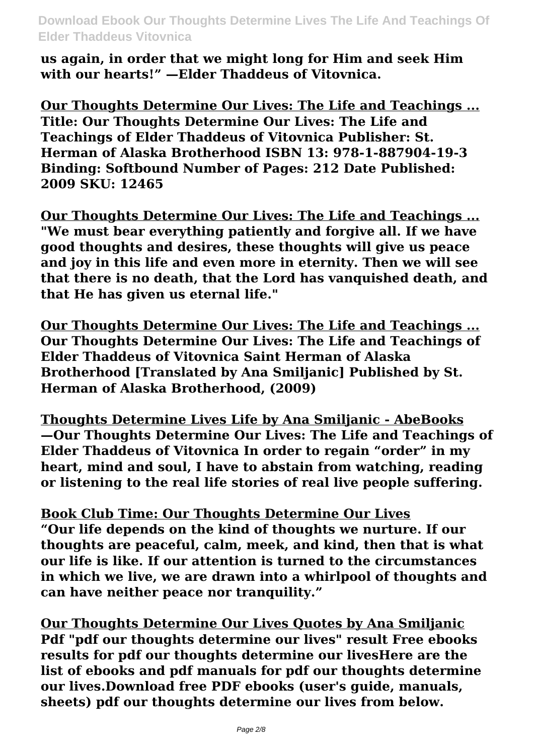**us again, in order that we might long for Him and seek Him with our hearts!" —Elder Thaddeus of Vitovnica.**

**Our Thoughts Determine Our Lives: The Life and Teachings ... Title: Our Thoughts Determine Our Lives: The Life and Teachings of Elder Thaddeus of Vitovnica Publisher: St. Herman of Alaska Brotherhood ISBN 13: 978-1-887904-19-3 Binding: Softbound Number of Pages: 212 Date Published: 2009 SKU: 12465**

**Our Thoughts Determine Our Lives: The Life and Teachings ... "We must bear everything patiently and forgive all. If we have good thoughts and desires, these thoughts will give us peace and joy in this life and even more in eternity. Then we will see that there is no death, that the Lord has vanquished death, and that He has given us eternal life."**

**Our Thoughts Determine Our Lives: The Life and Teachings ... Our Thoughts Determine Our Lives: The Life and Teachings of Elder Thaddeus of Vitovnica Saint Herman of Alaska Brotherhood [Translated by Ana Smiljanic] Published by St. Herman of Alaska Brotherhood, (2009)**

**Thoughts Determine Lives Life by Ana Smiljanic - AbeBooks —Our Thoughts Determine Our Lives: The Life and Teachings of Elder Thaddeus of Vitovnica In order to regain "order" in my heart, mind and soul, I have to abstain from watching, reading or listening to the real life stories of real live people suffering.**

**Book Club Time: Our Thoughts Determine Our Lives "Our life depends on the kind of thoughts we nurture. If our thoughts are peaceful, calm, meek, and kind, then that is what our life is like. If our attention is turned to the circumstances in which we live, we are drawn into a whirlpool of thoughts and can have neither peace nor tranquility."**

**Our Thoughts Determine Our Lives Quotes by Ana Smiljanic Pdf "pdf our thoughts determine our lives" result Free ebooks results for pdf our thoughts determine our livesHere are the list of ebooks and pdf manuals for pdf our thoughts determine our lives.Download free PDF ebooks (user's guide, manuals, sheets) pdf our thoughts determine our lives from below.**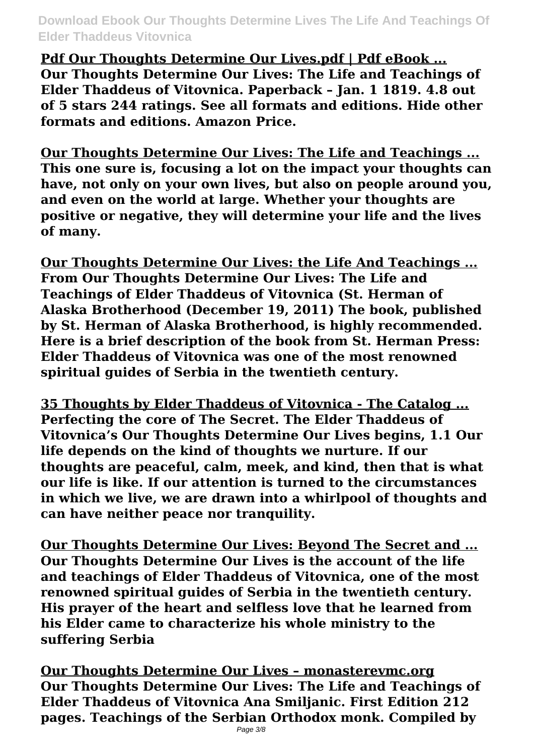**Pdf Our Thoughts Determine Our Lives.pdf | Pdf eBook ... Our Thoughts Determine Our Lives: The Life and Teachings of Elder Thaddeus of Vitovnica. Paperback – Jan. 1 1819. 4.8 out of 5 stars 244 ratings. See all formats and editions. Hide other formats and editions. Amazon Price.**

**Our Thoughts Determine Our Lives: The Life and Teachings ... This one sure is, focusing a lot on the impact your thoughts can have, not only on your own lives, but also on people around you, and even on the world at large. Whether your thoughts are positive or negative, they will determine your life and the lives of many.**

**Our Thoughts Determine Our Lives: the Life And Teachings ... From Our Thoughts Determine Our Lives: The Life and Teachings of Elder Thaddeus of Vitovnica (St. Herman of Alaska Brotherhood (December 19, 2011) The book, published by St. Herman of Alaska Brotherhood, is highly recommended. Here is a brief description of the book from St. Herman Press: Elder Thaddeus of Vitovnica was one of the most renowned spiritual guides of Serbia in the twentieth century.**

**35 Thoughts by Elder Thaddeus of Vitovnica - The Catalog ... Perfecting the core of The Secret. The Elder Thaddeus of Vitovnica's Our Thoughts Determine Our Lives begins, 1.1 Our life depends on the kind of thoughts we nurture. If our thoughts are peaceful, calm, meek, and kind, then that is what our life is like. If our attention is turned to the circumstances in which we live, we are drawn into a whirlpool of thoughts and can have neither peace nor tranquility.**

**Our Thoughts Determine Our Lives: Beyond The Secret and ... Our Thoughts Determine Our Lives is the account of the life and teachings of Elder Thaddeus of Vitovnica, one of the most renowned spiritual guides of Serbia in the twentieth century. His prayer of the heart and selfless love that he learned from his Elder came to characterize his whole ministry to the suffering Serbia**

**Our Thoughts Determine Our Lives – monasterevmc.org Our Thoughts Determine Our Lives: The Life and Teachings of Elder Thaddeus of Vitovnica Ana Smiljanic. First Edition 212 pages. Teachings of the Serbian Orthodox monk. Compiled by**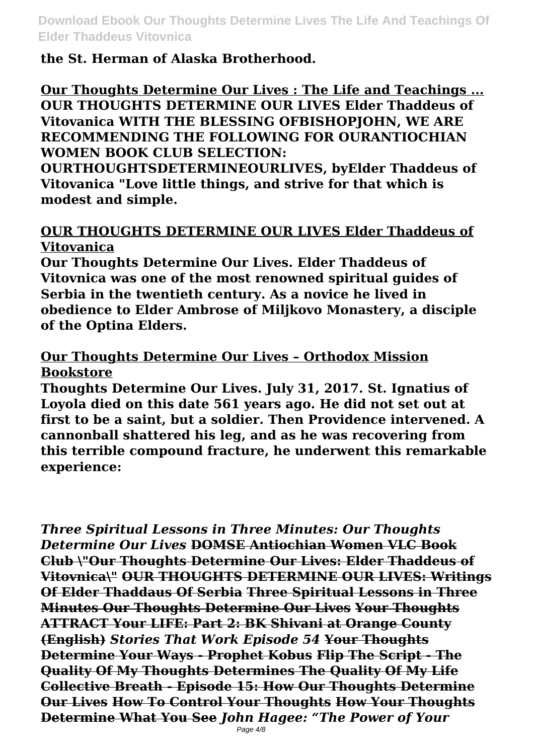**the St. Herman of Alaska Brotherhood.**

**Our Thoughts Determine Our Lives : The Life and Teachings ... OUR THOUGHTS DETERMINE OUR LIVES Elder Thaddeus of Vitovanica WITH THE BLESSING OFBISHOPJOHN, WE ARE RECOMMENDING THE FOLLOWING FOR OURANTIOCHIAN WOMEN BOOK CLUB SELECTION:**

**OURTHOUGHTSDETERMINEOURLIVES, byElder Thaddeus of Vitovanica "Love little things, and strive for that which is modest and simple.**

## **OUR THOUGHTS DETERMINE OUR LIVES Elder Thaddeus of Vitovanica**

**Our Thoughts Determine Our Lives. Elder Thaddeus of Vitovnica was one of the most renowned spiritual guides of Serbia in the twentieth century. As a novice he lived in obedience to Elder Ambrose of Miljkovo Monastery, a disciple of the Optina Elders.**

# **Our Thoughts Determine Our Lives – Orthodox Mission Bookstore**

**Thoughts Determine Our Lives. July 31, 2017. St. Ignatius of Loyola died on this date 561 years ago. He did not set out at first to be a saint, but a soldier. Then Providence intervened. A cannonball shattered his leg, and as he was recovering from this terrible compound fracture, he underwent this remarkable experience:**

*Three Spiritual Lessons in Three Minutes: Our Thoughts Determine Our Lives* **DOMSE Antiochian Women VLC Book Club \"Our Thoughts Determine Our Lives: Elder Thaddeus of Vitovnica\" OUR THOUGHTS DETERMINE OUR LIVES: Writings Of Elder Thaddaus Of Serbia Three Spiritual Lessons in Three Minutes Our Thoughts Determine Our Lives Your Thoughts ATTRACT Your LIFE: Part 2: BK Shivani at Orange County (English)** *Stories That Work Episode 54* **Your Thoughts Determine Your Ways - Prophet Kobus Flip The Script - The Quality Of My Thoughts Determines The Quality Of My Life Collective Breath - Episode 15: How Our Thoughts Determine Our Lives How To Control Your Thoughts How Your Thoughts Determine What You See** *John Hagee: "The Power of Your*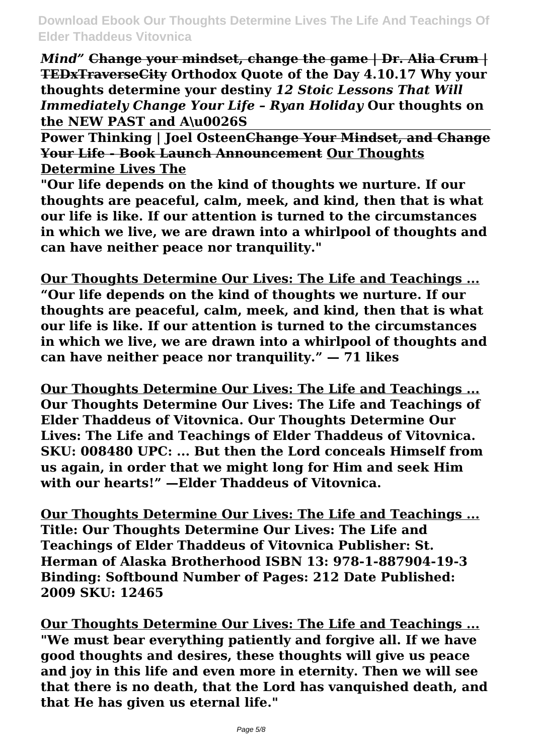*Mind"* **Change your mindset, change the game | Dr. Alia Crum | TEDxTraverseCity Orthodox Quote of the Day 4.10.17 Why your thoughts determine your destiny** *12 Stoic Lessons That Will Immediately Change Your Life – Ryan Holiday* **Our thoughts on the NEW PAST and A\u0026S**

**Power Thinking | Joel OsteenChange Your Mindset, and Change Your Life - Book Launch Announcement Our Thoughts Determine Lives The**

**"Our life depends on the kind of thoughts we nurture. If our thoughts are peaceful, calm, meek, and kind, then that is what our life is like. If our attention is turned to the circumstances in which we live, we are drawn into a whirlpool of thoughts and can have neither peace nor tranquility."**

**Our Thoughts Determine Our Lives: The Life and Teachings ... "Our life depends on the kind of thoughts we nurture. If our thoughts are peaceful, calm, meek, and kind, then that is what our life is like. If our attention is turned to the circumstances in which we live, we are drawn into a whirlpool of thoughts and can have neither peace nor tranquility." — 71 likes**

**Our Thoughts Determine Our Lives: The Life and Teachings ... Our Thoughts Determine Our Lives: The Life and Teachings of Elder Thaddeus of Vitovnica. Our Thoughts Determine Our Lives: The Life and Teachings of Elder Thaddeus of Vitovnica. SKU: 008480 UPC: ... But then the Lord conceals Himself from us again, in order that we might long for Him and seek Him with our hearts!" —Elder Thaddeus of Vitovnica.**

**Our Thoughts Determine Our Lives: The Life and Teachings ... Title: Our Thoughts Determine Our Lives: The Life and Teachings of Elder Thaddeus of Vitovnica Publisher: St. Herman of Alaska Brotherhood ISBN 13: 978-1-887904-19-3 Binding: Softbound Number of Pages: 212 Date Published: 2009 SKU: 12465**

**Our Thoughts Determine Our Lives: The Life and Teachings ... "We must bear everything patiently and forgive all. If we have good thoughts and desires, these thoughts will give us peace and joy in this life and even more in eternity. Then we will see that there is no death, that the Lord has vanquished death, and that He has given us eternal life."**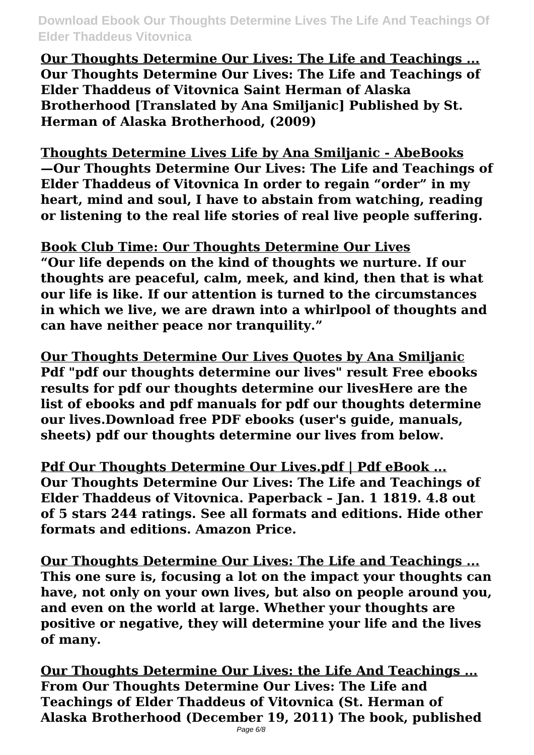**Our Thoughts Determine Our Lives: The Life and Teachings ... Our Thoughts Determine Our Lives: The Life and Teachings of Elder Thaddeus of Vitovnica Saint Herman of Alaska Brotherhood [Translated by Ana Smiljanic] Published by St. Herman of Alaska Brotherhood, (2009)**

**Thoughts Determine Lives Life by Ana Smiljanic - AbeBooks —Our Thoughts Determine Our Lives: The Life and Teachings of Elder Thaddeus of Vitovnica In order to regain "order" in my heart, mind and soul, I have to abstain from watching, reading or listening to the real life stories of real live people suffering.**

**Book Club Time: Our Thoughts Determine Our Lives "Our life depends on the kind of thoughts we nurture. If our thoughts are peaceful, calm, meek, and kind, then that is what our life is like. If our attention is turned to the circumstances in which we live, we are drawn into a whirlpool of thoughts and can have neither peace nor tranquility."**

**Our Thoughts Determine Our Lives Quotes by Ana Smiljanic Pdf "pdf our thoughts determine our lives" result Free ebooks results for pdf our thoughts determine our livesHere are the list of ebooks and pdf manuals for pdf our thoughts determine our lives.Download free PDF ebooks (user's guide, manuals, sheets) pdf our thoughts determine our lives from below.**

**Pdf Our Thoughts Determine Our Lives.pdf | Pdf eBook ... Our Thoughts Determine Our Lives: The Life and Teachings of Elder Thaddeus of Vitovnica. Paperback – Jan. 1 1819. 4.8 out of 5 stars 244 ratings. See all formats and editions. Hide other formats and editions. Amazon Price.**

**Our Thoughts Determine Our Lives: The Life and Teachings ... This one sure is, focusing a lot on the impact your thoughts can have, not only on your own lives, but also on people around you, and even on the world at large. Whether your thoughts are positive or negative, they will determine your life and the lives of many.**

**Our Thoughts Determine Our Lives: the Life And Teachings ... From Our Thoughts Determine Our Lives: The Life and Teachings of Elder Thaddeus of Vitovnica (St. Herman of Alaska Brotherhood (December 19, 2011) The book, published**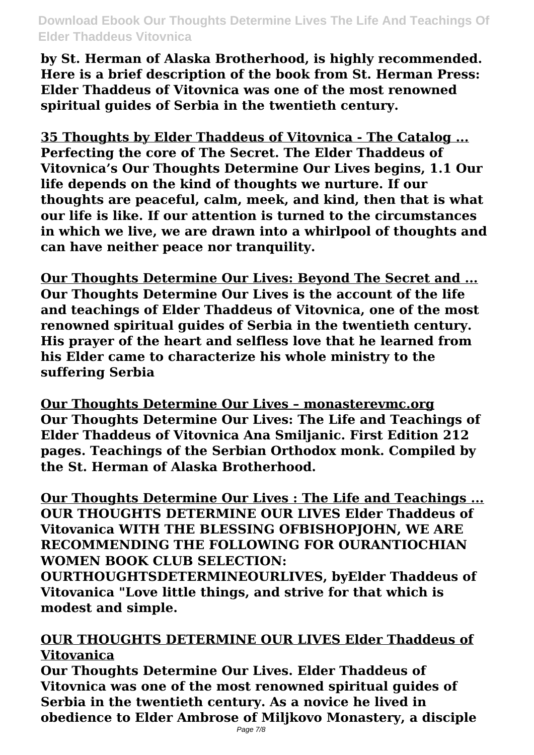**by St. Herman of Alaska Brotherhood, is highly recommended. Here is a brief description of the book from St. Herman Press: Elder Thaddeus of Vitovnica was one of the most renowned spiritual guides of Serbia in the twentieth century.**

**35 Thoughts by Elder Thaddeus of Vitovnica - The Catalog ... Perfecting the core of The Secret. The Elder Thaddeus of Vitovnica's Our Thoughts Determine Our Lives begins, 1.1 Our life depends on the kind of thoughts we nurture. If our thoughts are peaceful, calm, meek, and kind, then that is what our life is like. If our attention is turned to the circumstances in which we live, we are drawn into a whirlpool of thoughts and can have neither peace nor tranquility.**

**Our Thoughts Determine Our Lives: Beyond The Secret and ... Our Thoughts Determine Our Lives is the account of the life and teachings of Elder Thaddeus of Vitovnica, one of the most renowned spiritual guides of Serbia in the twentieth century. His prayer of the heart and selfless love that he learned from his Elder came to characterize his whole ministry to the suffering Serbia**

**Our Thoughts Determine Our Lives – monasterevmc.org Our Thoughts Determine Our Lives: The Life and Teachings of Elder Thaddeus of Vitovnica Ana Smiljanic. First Edition 212 pages. Teachings of the Serbian Orthodox monk. Compiled by the St. Herman of Alaska Brotherhood.**

**Our Thoughts Determine Our Lives : The Life and Teachings ... OUR THOUGHTS DETERMINE OUR LIVES Elder Thaddeus of Vitovanica WITH THE BLESSING OFBISHOPJOHN, WE ARE RECOMMENDING THE FOLLOWING FOR OURANTIOCHIAN WOMEN BOOK CLUB SELECTION:**

**OURTHOUGHTSDETERMINEOURLIVES, byElder Thaddeus of Vitovanica "Love little things, and strive for that which is modest and simple.**

## **OUR THOUGHTS DETERMINE OUR LIVES Elder Thaddeus of Vitovanica**

**Our Thoughts Determine Our Lives. Elder Thaddeus of Vitovnica was one of the most renowned spiritual guides of Serbia in the twentieth century. As a novice he lived in obedience to Elder Ambrose of Miljkovo Monastery, a disciple**